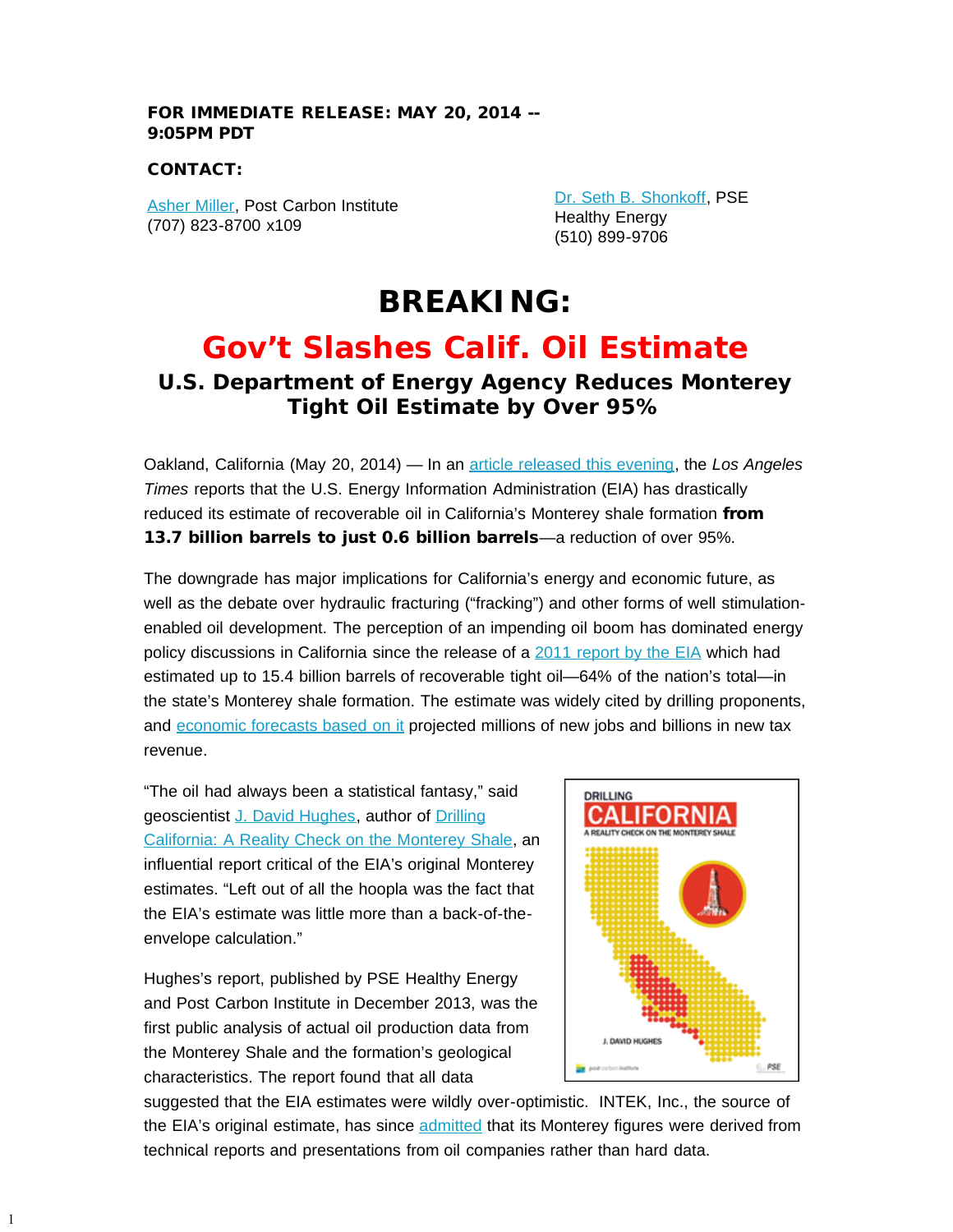### FOR IMMEDIATE RELEASE: MAY 20, 2014 -- 9:05PM PDT

#### CONTACT:

[Asher Miller](mailto:asher@postcarbon.org), Post Carbon Institute (707) 823-8700 x109

[Dr. Seth B. Shonkoff,](mailto:sshonkoff@psehealthyenergy.org) PSE Healthy Energy (510) 899-9706

# **BREAKING:**

## **Gov't Slashes Calif. Oil Estimate**

## **U.S. Department of Energy Agency Reduces Monterey Tight Oil Estimate by Over 95%**

Oakland, California (May 20, 2014) — In an [article released this evening,](http://www.latimes.com/business/la-fi-oil-20140521-story.html) the *Los Angeles Times* reports that the U.S. Energy Information Administration (EIA) has drastically reduced its estimate of recoverable oil in California's Monterey shale formation from 13.7 billion barrels to just 0.6 billion barrels—a reduction of over 95%.

The downgrade has major implications for California's energy and economic future, as well as the debate over hydraulic fracturing ("fracking") and other forms of well stimulationenabled oil development. The perception of an impending oil boom has dominated energy policy discussions in California since the release of a [2011 report by the EIA](http://www.eia.gov/analysis/studies/usshalegas/pdf/usshaleplays.pdf) which had estimated up to 15.4 billion barrels of recoverable tight oil—64% of the nation's total—in the state's Monterey shale formation. The estimate was widely cited by drilling proponents, and [economic forecasts based on it](http://gen.usc.edu/assets/001/84955.pdf) projected millions of new jobs and billions in new tax revenue.

"The oil had always been a statistical fantasy," said geoscientist [J. David Hughes](http://new.postcarbon.org/our-people/david-hughes/), author of [Drilling](http://montereyoil.org/the-report/) [California: A Reality Check on the Monterey Shale,](http://montereyoil.org/the-report/) an influential report critical of the EIA's original Monterey estimates. "Left out of all the hoopla was the fact that the EIA's estimate was little more than a back-of-theenvelope calculation."

Hughes's report, published by PSE Healthy Energy and Post Carbon Institute in December 2013, was the first public analysis of actual oil production data from the Monterey Shale and the formation's geological characteristics. The report found that all data

1



suggested that the EIA estimates were wildly over-optimistic. INTEK, Inc., the source of the EIA's original estimate, has since [admitted](http://www.kerngoldenempire.com/story/report-monterey-shale-production-wildly-optimistic/d/story/VdOYdQZ-4UKgp7qNwqq8Xg) that its Monterey figures were derived from technical reports and presentations from oil companies rather than hard data.